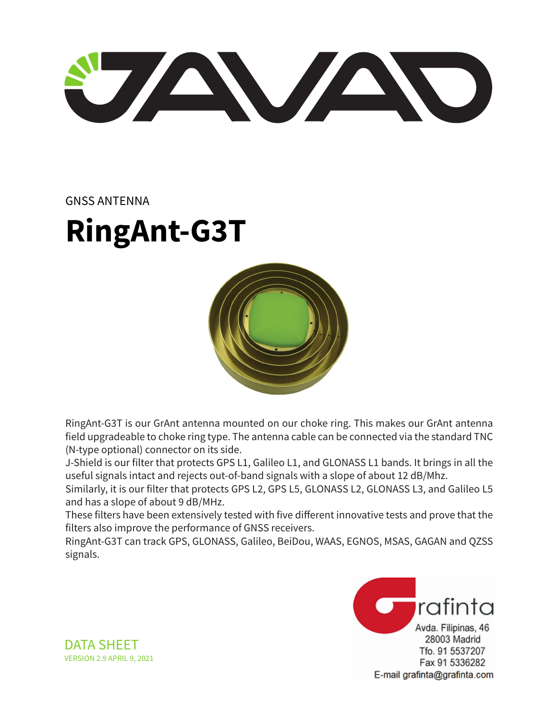U AVAND

#### GNSS ANTENNA

# **RingAnt-G3T**



RingAnt-G3T is our GrAnt antenna mounted on our choke ring. This makes our GrAnt antenna field upgradeable to choke ring type. The antenna cable can be connected via the standard TNC (N-type optional) connector on its side.

J-Shield is our filter that protects GPS L1, Galileo L1, and GLONASS L1 bands. It brings in all the useful signals intact and rejects out-of-band signals with a slope of about 12 dB/Mhz.

Similarly, it is our filter that protects GPS L2, GPS L5, GLONASS L2, GLONASS L3, and Galileo L5 and has a slope of about 9 dB/MHz.

These filters have been extensively tested with five different innovative tests and prove that the filters also improve the performance of GNSS receivers.

RingAnt-G3T can track GPS, GLONASS, Galileo, BeiDou, WAAS, EGNOS, MSAS, GAGAN and QZSS signals.



DATA SHEET VERSION 2.9 APRIL 9, 2021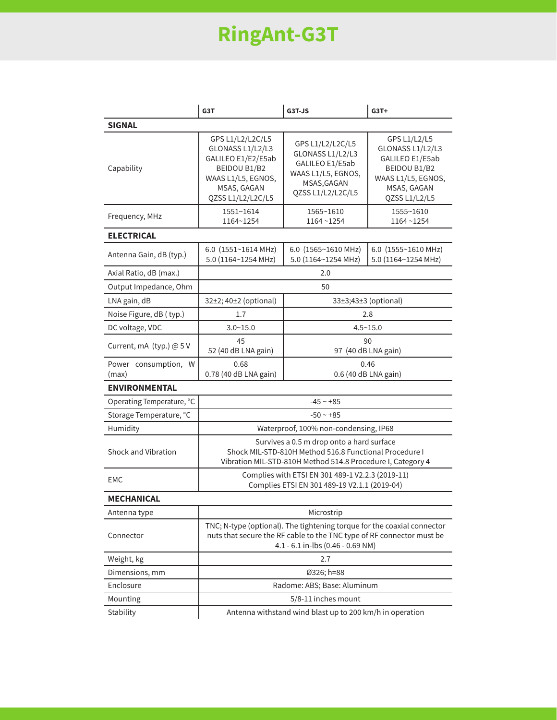# **RingAnt-G3T**

|                               | G3T                                                                                                                                                                                   | G3T-JS                                                                                                            | $G3T+$                                                                                                                    |  |
|-------------------------------|---------------------------------------------------------------------------------------------------------------------------------------------------------------------------------------|-------------------------------------------------------------------------------------------------------------------|---------------------------------------------------------------------------------------------------------------------------|--|
| <b>SIGNAL</b>                 |                                                                                                                                                                                       |                                                                                                                   |                                                                                                                           |  |
| Capability                    | GPS L1/L2/L2C/L5<br>GLONASS L1/L2/L3<br>GALILEO E1/E2/E5ab<br>BEIDOU B1/B2<br>WAAS L1/L5, EGNOS,<br>MSAS, GAGAN<br>QZSS L1/L2/L2C/L5                                                  | GPS L1/L2/L2C/L5<br>GLONASS L1/L2/L3<br>GALILEO E1/E5ab<br>WAAS L1/L5, EGNOS,<br>MSAS, GAGAN<br>QZSS L1/L2/L2C/L5 | GPS L1/L2/L5<br>GLONASS L1/L2/L3<br>GALILEO E1/E5ab<br>BEIDOU B1/B2<br>WAAS L1/L5, EGNOS,<br>MSAS, GAGAN<br>QZSS L1/L2/L5 |  |
| Frequency, MHz                | 1551~1614<br>1164~1254                                                                                                                                                                | 1565~1610<br>1164~1254                                                                                            | 1555~1610<br>1164~1254                                                                                                    |  |
| <b>ELECTRICAL</b>             |                                                                                                                                                                                       |                                                                                                                   |                                                                                                                           |  |
| Antenna Gain, dB (typ.)       | 6.0 $(1551~1614 \text{ MHz})$<br>5.0 (1164~1254 MHz)                                                                                                                                  | 6.0 $(1565~1610 \text{ MHz})$<br>5.0 (1164~1254 MHz)                                                              | 6.0 (1555~1610 MHz)<br>5.0 (1164~1254 MHz)                                                                                |  |
| Axial Ratio, dB (max.)        | 2.0                                                                                                                                                                                   |                                                                                                                   |                                                                                                                           |  |
| Output Impedance, Ohm         | 50                                                                                                                                                                                    |                                                                                                                   |                                                                                                                           |  |
| LNA gain, dB                  | 32±2; 40±2 (optional)                                                                                                                                                                 | 33±3;43±3 (optional)                                                                                              |                                                                                                                           |  |
| Noise Figure, dB (typ.)       | 1.7                                                                                                                                                                                   |                                                                                                                   | 2.8                                                                                                                       |  |
| DC voltage, VDC               | $3.0 - 15.0$                                                                                                                                                                          | $4.5 - 15.0$                                                                                                      |                                                                                                                           |  |
| Current, mA (typ.) @ 5 V      | 45<br>52 (40 dB LNA gain)                                                                                                                                                             | 90<br>97 (40 dB LNA gain)                                                                                         |                                                                                                                           |  |
| Power consumption, W<br>(max) | 0.68<br>0.78 (40 dB LNA gain)                                                                                                                                                         | 0.46<br>0.6 (40 dB LNA gain)                                                                                      |                                                                                                                           |  |
| <b>ENVIRONMENTAL</b>          |                                                                                                                                                                                       |                                                                                                                   |                                                                                                                           |  |
| Operating Temperature, °C     | $-45 - +85$                                                                                                                                                                           |                                                                                                                   |                                                                                                                           |  |
| Storage Temperature, °C       | $-50 - +85$                                                                                                                                                                           |                                                                                                                   |                                                                                                                           |  |
| Humidity                      | Waterproof, 100% non-condensing, IP68                                                                                                                                                 |                                                                                                                   |                                                                                                                           |  |
| Shock and Vibration           | Survives a 0.5 m drop onto a hard surface<br>Shock MIL-STD-810H Method 516.8 Functional Procedure I<br>Vibration MIL-STD-810H Method 514.8 Procedure I, Category 4                    |                                                                                                                   |                                                                                                                           |  |
| EMC                           | Complies with ETSI EN 301 489-1 V2.2.3 (2019-11)<br>Complies ETSI EN 301 489-19 V2.1.1 (2019-04)                                                                                      |                                                                                                                   |                                                                                                                           |  |
| <b>MECHANICAL</b>             |                                                                                                                                                                                       |                                                                                                                   |                                                                                                                           |  |
| Antenna type                  | Microstrip                                                                                                                                                                            |                                                                                                                   |                                                                                                                           |  |
| Connector                     | TNC; N-type (optional). The tightening torque for the coaxial connector<br>nuts that secure the RF cable to the TNC type of RF connector must be<br>4.1 - 6.1 in-lbs (0.46 - 0.69 NM) |                                                                                                                   |                                                                                                                           |  |
| Weight, kg                    | 2.7                                                                                                                                                                                   |                                                                                                                   |                                                                                                                           |  |
| Dimensions, mm                | Ø326; h=88                                                                                                                                                                            |                                                                                                                   |                                                                                                                           |  |
| Enclosure                     | Radome: ABS; Base: Aluminum                                                                                                                                                           |                                                                                                                   |                                                                                                                           |  |
| Mounting                      | 5/8-11 inches mount                                                                                                                                                                   |                                                                                                                   |                                                                                                                           |  |
| Stability                     | Antenna withstand wind blast up to 200 km/h in operation                                                                                                                              |                                                                                                                   |                                                                                                                           |  |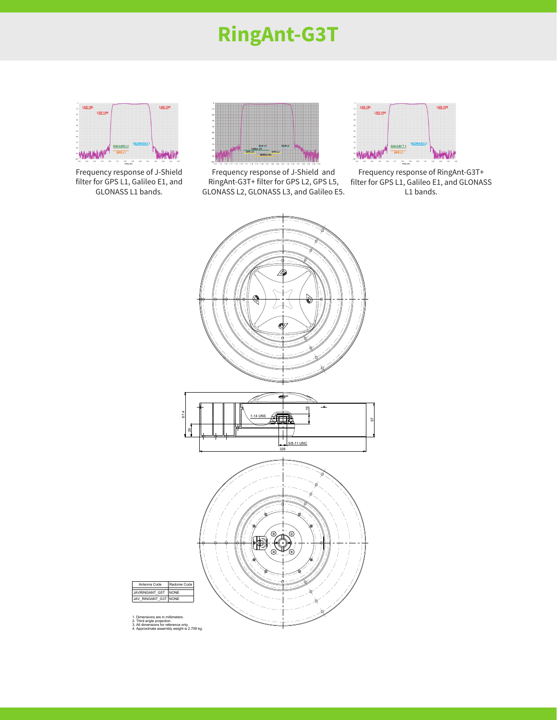## **RingAnt-G3T**



Frequency response of J-Shield filter for GPS L1, Galileo E1, and GLONASS L1 bands.



Frequency response of J-Shield and RingAnt-G3T+ filter for GPS L2, GPS L5, GLONASS L2, GLONASS L3, and Galileo E5.



Frequency response of RingAnt-G3T+ filter for GPS L1, Galileo E1, and GLONASS L1 bands.